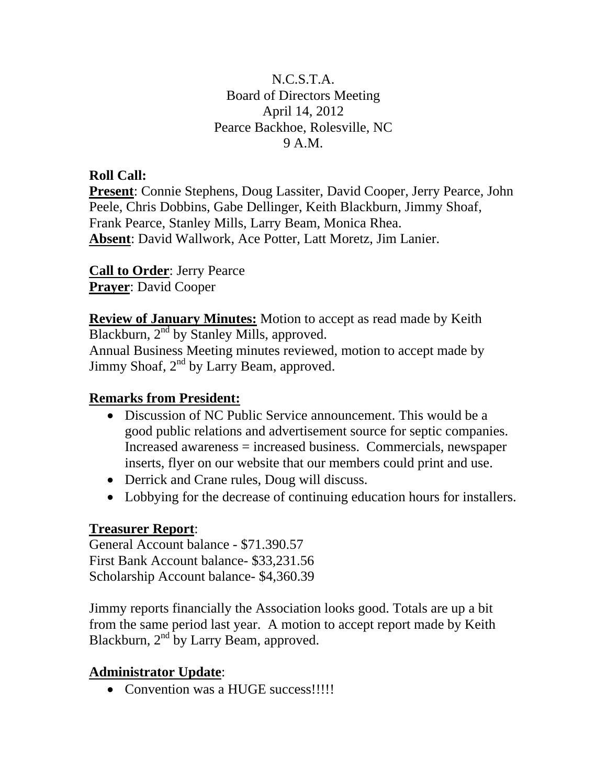### N.C.S.T.A. Board of Directors Meeting April 14, 2012 Pearce Backhoe, Rolesville, NC 9 A.M.

### **Roll Call:**

**Present**: Connie Stephens, Doug Lassiter, David Cooper, Jerry Pearce, John Peele, Chris Dobbins, Gabe Dellinger, Keith Blackburn, Jimmy Shoaf, Frank Pearce, Stanley Mills, Larry Beam, Monica Rhea. **Absent**: David Wallwork, Ace Potter, Latt Moretz, Jim Lanier.

**Call to Order**: Jerry Pearce **Prayer**: David Cooper

**Review of January Minutes:** Motion to accept as read made by Keith Blackburn,  $2<sup>nd</sup>$  by Stanley Mills, approved. Annual Business Meeting minutes reviewed, motion to accept made by Jimmy Shoaf,  $2<sup>nd</sup>$  by Larry Beam, approved.

### **Remarks from President:**

- Discussion of NC Public Service announcement. This would be a good public relations and advertisement source for septic companies. Increased awareness = increased business. Commercials, newspaper inserts, flyer on our website that our members could print and use.
- Derrick and Crane rules, Doug will discuss.
- Lobbying for the decrease of continuing education hours for installers.

### **Treasurer Report**:

General Account balance - \$71.390.57 First Bank Account balance- \$33,231.56 Scholarship Account balance- \$4,360.39

Jimmy reports financially the Association looks good. Totals are up a bit from the same period last year. A motion to accept report made by Keith Blackburn,  $2<sup>nd</sup>$  by Larry Beam, approved.

## **Administrator Update**:

• Convention was a HUGE success!!!!!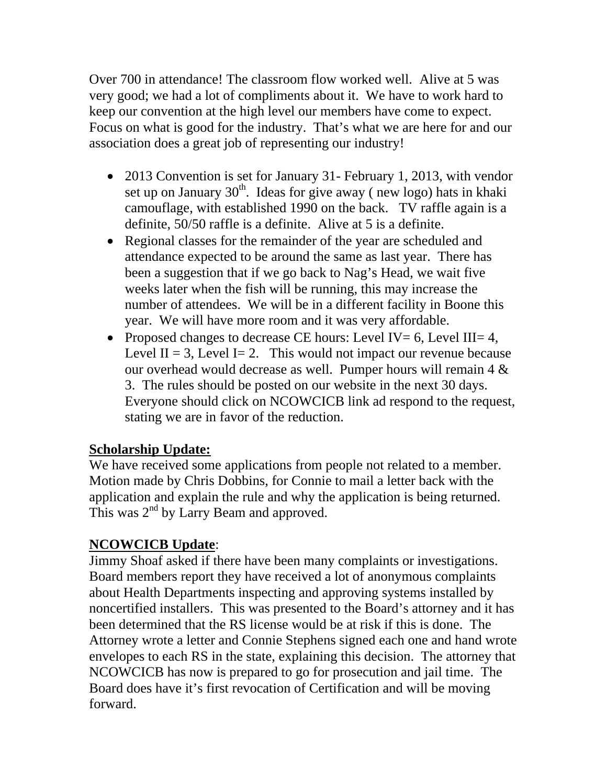Over 700 in attendance! The classroom flow worked well. Alive at 5 was very good; we had a lot of compliments about it. We have to work hard to keep our convention at the high level our members have come to expect. Focus on what is good for the industry. That's what we are here for and our association does a great job of representing our industry!

- 2013 Convention is set for January 31- February 1, 2013, with vendor set up on January  $30<sup>th</sup>$ . Ideas for give away (new logo) hats in khaki camouflage, with established 1990 on the back. TV raffle again is a definite, 50/50 raffle is a definite. Alive at 5 is a definite.
- Regional classes for the remainder of the year are scheduled and attendance expected to be around the same as last year. There has been a suggestion that if we go back to Nag's Head, we wait five weeks later when the fish will be running, this may increase the number of attendees. We will be in a different facility in Boone this year. We will have more room and it was very affordable.
- Proposed changes to decrease CE hours: Level IV = 6, Level III = 4, Level II = 3, Level I = 2. This would not impact our revenue because our overhead would decrease as well. Pumper hours will remain 4 & 3. The rules should be posted on our website in the next 30 days. Everyone should click on NCOWCICB link ad respond to the request, stating we are in favor of the reduction.

### **Scholarship Update:**

We have received some applications from people not related to a member. Motion made by Chris Dobbins, for Connie to mail a letter back with the application and explain the rule and why the application is being returned. This was  $2^{nd}$  by Larry Beam and approved.

## **NCOWCICB Update**:

Jimmy Shoaf asked if there have been many complaints or investigations. Board members report they have received a lot of anonymous complaints about Health Departments inspecting and approving systems installed by noncertified installers. This was presented to the Board's attorney and it has been determined that the RS license would be at risk if this is done. The Attorney wrote a letter and Connie Stephens signed each one and hand wrote envelopes to each RS in the state, explaining this decision. The attorney that NCOWCICB has now is prepared to go for prosecution and jail time. The Board does have it's first revocation of Certification and will be moving forward.